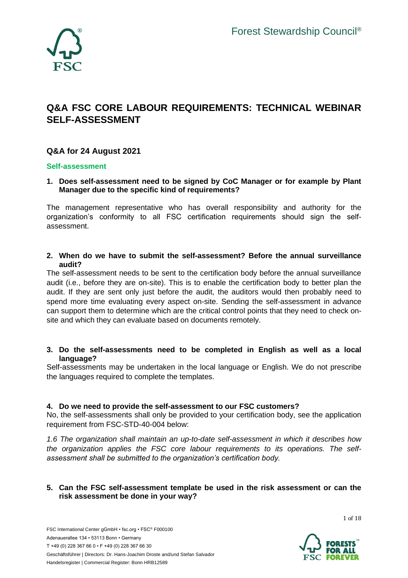

# **Q&A FSC CORE LABOUR REQUIREMENTS: TECHNICAL WEBINAR SELF-ASSESSMENT**

# **Q&A for 24 August 2021**

#### **Self-assessment**

**1. Does self-assessment need to be signed by CoC Manager or for example by Plant Manager due to the specific kind of requirements?**

The management representative who has overall responsibility and authority for the organization's conformity to all FSC certification requirements should sign the selfassessment.

**2. When do we have to submit the self-assessment? Before the annual surveillance audit?**

The self-assessment needs to be sent to the certification body before the annual surveillance audit (i.e., before they are on-site). This is to enable the certification body to better plan the audit. If they are sent only just before the audit, the auditors would then probably need to spend more time evaluating every aspect on-site. Sending the self-assessment in advance can support them to determine which are the critical control points that they need to check onsite and which they can evaluate based on documents remotely.

**3. Do the self-assessments need to be completed in English as well as a local language?**

Self-assessments may be undertaken in the local language or English. We do not prescribe the languages required to complete the templates.

## **4. Do we need to provide the self-assessment to our FSC customers?**

No, the self-assessments shall only be provided to your certification body, see the application requirement from FSC-STD-40-004 below:

*1.6 The organization shall maintain an up-to-date self-assessment in which it describes how the organization applies the FSC core labour requirements to its operations. The selfassessment shall be submitted to the organization's certification body.*

#### **5. Can the FSC self-assessment template be used in the risk assessment or can the risk assessment be done in your way?**

1 of 18

FSC International Center gGmbH • fsc.org • FSC® F000100 Adenauerallee 134 • 53113 Bonn • Germany T +49 (0) 228 367 66 0 • F +49 (0) 228 367 66 30 Geschäftsführer | Directors: Dr. Hans-Joachim Droste and/und Stefan Salvador Handelsregister | Commercial Register: Bonn HRB12589

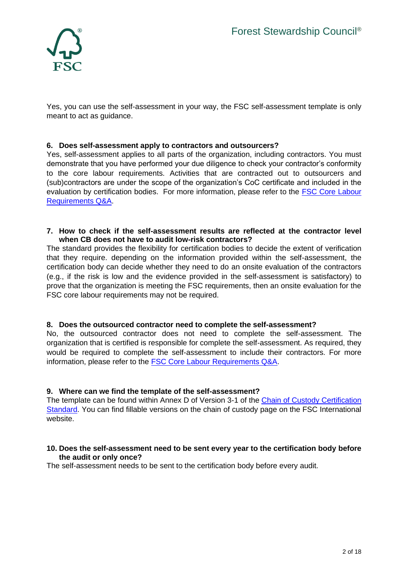

Yes, you can use the self-assessment in your way, the FSC self-assessment template is only meant to act as guidance.

## **6. Does self-assessment apply to contractors and outsourcers?**

Yes, self-assessment applies to all parts of the organization, including contractors. You must demonstrate that you have performed your due diligence to check your contractor's conformity to the core labour requirements. Activities that are contracted out to outsourcers and (sub)contractors are under the scope of the organization's CoC certificate and included in the evaluation by certification bodies. For more information, please refer to the [FSC Core Labour](FSC%20Core%20Labour%20Requirements%20Q&A)  [Requirements Q&A.](FSC%20Core%20Labour%20Requirements%20Q&A)

#### **7. How to check if the self-assessment results are reflected at the contractor level when CB does not have to audit low-risk contractors?**

The standard provides the flexibility for certification bodies to decide the extent of verification that they require. depending on the information provided within the self-assessment, the certification body can decide whether they need to do an onsite evaluation of the contractors (e.g., if the risk is low and the evidence provided in the self-assessment is satisfactory) to prove that the organization is meeting the FSC requirements, then an onsite evaluation for the FSC core labour requirements may not be required.

## **8. Does the outsourced contractor need to complete the self-assessment?**

No, the outsourced contractor does not need to complete the self-assessment. The organization that is certified is responsible for complete the self-assessment. As required, they would be required to complete the self-assessment to include their contractors. For more information, please refer to the [FSC Core Labour Requirements Q&A.](FSC%20Core%20Labour%20Requirements%20Q&A)

#### **9. Where can we find the template of the self-assessment?**

The template can be found within Annex D of Version 3-1 of the Chain of Custody Certification [Standard.](https://fsc.org/en/document-centre/documents/resource/302) You can find fillable versions on the chain of custody page on the FSC International website.

#### **10. Does the self-assessment need to be sent every year to the certification body before the audit or only once?**

The self-assessment needs to be sent to the certification body before every audit.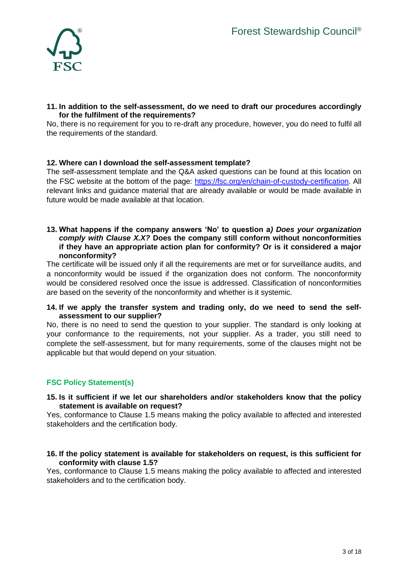

## **11. In addition to the self-assessment, do we need to draft our procedures accordingly for the fulfilment of the requirements?**

No, there is no requirement for you to re-draft any procedure, however, you do need to fulfil all the requirements of the standard.

## **12. Where can I download the self-assessment template?**

The self-assessment template and the Q&A asked questions can be found at this location on the FSC website at the bottom of the page: [https://fsc.org/en/chain-of-custody-certification.](https://fsc.org/en/chain-of-custody-certification) All relevant links and guidance material that are already available or would be made available in future would be made available at that location.

## **13. What happens if the company answers 'No' to question a***) Does your organization comply with Clause X.X?* **Does the company still conform without nonconformities if they have an appropriate action plan for conformity? Or is it considered a major nonconformity?**

The certificate will be issued only if all the requirements are met or for surveillance audits, and a nonconformity would be issued if the organization does not conform. The nonconformity would be considered resolved once the issue is addressed. Classification of nonconformities are based on the severity of the nonconformity and whether is it systemic.

#### **14. If we apply the transfer system and trading only, do we need to send the selfassessment to our supplier?**

No, there is no need to send the question to your supplier. The standard is only looking at your conformance to the requirements, not your supplier. As a trader, you still need to complete the self-assessment, but for many requirements, some of the clauses might not be applicable but that would depend on your situation.

# **FSC Policy Statement(s)**

#### **15. Is it sufficient if we let our shareholders and/or stakeholders know that the policy statement is available on request?**

Yes, conformance to Clause 1.5 means making the policy available to affected and interested stakeholders and the certification body.

## **16. If the policy statement is available for stakeholders on request, is this sufficient for conformity with clause 1.5?**

Yes, conformance to Clause 1.5 means making the policy available to affected and interested stakeholders and to the certification body.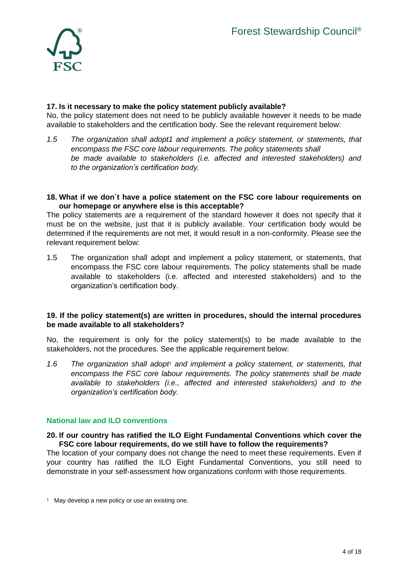

# **17. Is it necessary to make the policy statement publicly available?**

No, the policy statement does not need to be publicly available however it needs to be made available to stakeholders and the certification body. See the relevant requirement below:

*1.5 The organization shall adopt1 and implement a policy statement, or statements, that encompass the FSC core labour requirements. The policy statements shall be made available to stakeholders (i.e. affected and interested stakeholders) and to the organization's certification body.*

#### **18. What if we don´t have a police statement on the FSC core labour requirements on our homepage or anywhere else is this acceptable?**

The policy statements are a requirement of the standard however it does not specify that it must be on the website, just that it is publicly available. Your certification body would be determined if the requirements are not met, it would result in a non-conformity. Please see the relevant requirement below:

1.5 The organization shall adopt and implement a policy statement, or statements, that encompass the FSC core labour requirements. The policy statements shall be made available to stakeholders (i.e. affected and interested stakeholders) and to the organization's certification body.

# **19. If the policy statement(s) are written in procedures, should the internal procedures be made available to all stakeholders?**

No, the requirement is only for the policy statement(s) to be made available to the stakeholders, not the procedures. See the applicable requirement below:

*1.6 The organization shall adopt<sup>1</sup> and implement a policy statement, or statements, that encompass the FSC core labour requirements. The policy statements shall be made available to stakeholders (i.e., affected and interested stakeholders) and to the organization's certification body.*

## **National law and ILO conventions**

## **20. If our country has ratified the ILO Eight Fundamental Conventions which cover the FSC core labour requirements, do we still have to follow the requirements?**

The location of your company does not change the need to meet these requirements. Even if your country has ratified the ILO Eight Fundamental Conventions, you still need to demonstrate in your self-assessment how organizations conform with those requirements.

 $1$  May develop a new policy or use an existing one.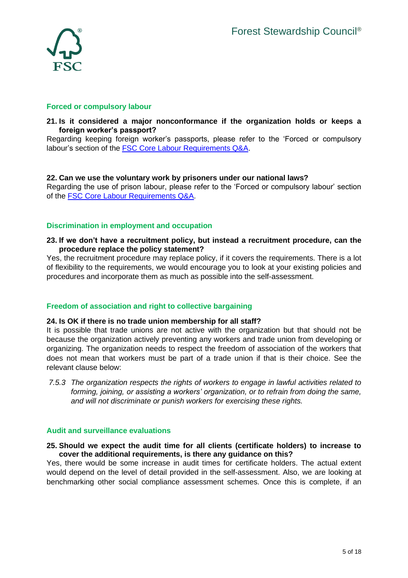

## **Forced or compulsory labour**

## **21. Is it considered a major nonconformance if the organization holds or keeps a foreign worker's passport?**

Regarding keeping foreign worker's passports, please refer to the 'Forced or compulsory labour's section of the [FSC Core Labour Requirements Q&A.](FSC%20Core%20Labour%20Requirements%20Q&A)

## **22. Can we use the voluntary work by prisoners under our national laws?**

Regarding the use of prison labour, please refer to the 'Forced or compulsory labour' section of the [FSC Core Labour Requirements Q&A.](FSC%20Core%20Labour%20Requirements%20Q&A)

# **Discrimination in employment and occupation**

**23. If we don't have a recruitment policy, but instead a recruitment procedure, can the procedure replace the policy statement?**

Yes, the recruitment procedure may replace policy, if it covers the requirements. There is a lot of flexibility to the requirements, we would encourage you to look at your existing policies and procedures and incorporate them as much as possible into the self-assessment.

# **Freedom of association and right to collective bargaining**

## **24. Is OK if there is no trade union membership for all staff?**

It is possible that trade unions are not active with the organization but that should not be because the organization actively preventing any workers and trade union from developing or organizing. The organization needs to respect the freedom of association of the workers that does not mean that workers must be part of a trade union if that is their choice. See the relevant clause below:

*7.5.3 The organization respects the rights of workers to engage in lawful activities related to forming, joining, or assisting a workers' organization, or to refrain from doing the same, and will not discriminate or punish workers for exercising these rights.* 

## **Audit and surveillance evaluations**

#### **25. Should we expect the audit time for all clients (certificate holders) to increase to cover the additional requirements, is there any guidance on this?**

Yes, there would be some increase in audit times for certificate holders. The actual extent would depend on the level of detail provided in the self-assessment. Also, we are looking at benchmarking other social compliance assessment schemes. Once this is complete, if an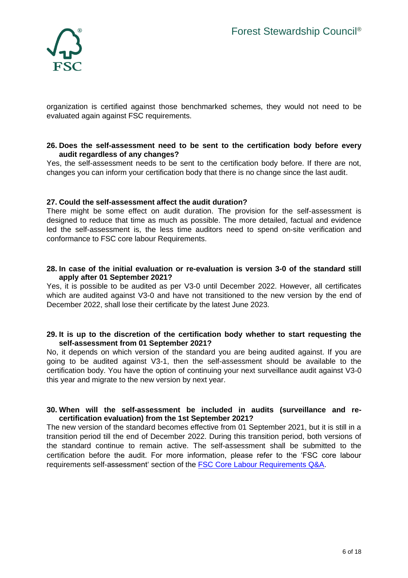

organization is certified against those benchmarked schemes, they would not need to be evaluated again against FSC requirements.

#### **26. Does the self-assessment need to be sent to the certification body before every audit regardless of any changes?**

Yes, the self-assessment needs to be sent to the certification body before. If there are not, changes you can inform your certification body that there is no change since the last audit.

## **27. Could the self-assessment affect the audit duration?**

There might be some effect on audit duration. The provision for the self-assessment is designed to reduce that time as much as possible. The more detailed, factual and evidence led the self-assessment is, the less time auditors need to spend on-site verification and conformance to FSC core labour Requirements.

## **28. In case of the initial evaluation or re-evaluation is version 3-0 of the standard still apply after 01 September 2021?**

Yes, it is possible to be audited as per V3-0 until December 2022. However, all certificates which are audited against V3-0 and have not transitioned to the new version by the end of December 2022, shall lose their certificate by the latest June 2023.

#### **29. It is up to the discretion of the certification body whether to start requesting the self-assessment from 01 September 2021?**

No, it depends on which version of the standard you are being audited against. If you are going to be audited against V3-1, then the self-assessment should be available to the certification body. You have the option of continuing your next surveillance audit against V3-0 this year and migrate to the new version by next year.

## **30. When will the self-assessment be included in audits (surveillance and recertification evaluation) from the 1st September 2021?**

The new version of the standard becomes effective from 01 September 2021, but it is still in a transition period till the end of December 2022. During this transition period, both versions of the standard continue to remain active. The self-assessment shall be submitted to the certification before the audit. For more information, please refer to the 'FSC core labour requirements self-assessment' section of the [FSC Core Labour Requirements Q&A.](FSC%20Core%20Labour%20Requirements%20Q&A)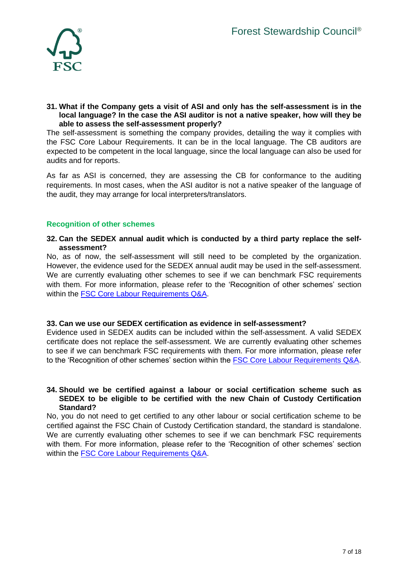

#### **31. What if the Company gets a visit of ASI and only has the self-assessment is in the local language? In the case the ASI auditor is not a native speaker, how will they be able to assess the self-assessment properly?**

The self-assessment is something the company provides, detailing the way it complies with the FSC Core Labour Requirements. It can be in the local language. The CB auditors are expected to be competent in the local language, since the local language can also be used for audits and for reports.

As far as ASI is concerned, they are assessing the CB for conformance to the auditing requirements. In most cases, when the ASI auditor is not a native speaker of the language of the audit, they may arrange for local interpreters/translators.

# **Recognition of other schemes**

## **32. Can the SEDEX annual audit which is conducted by a third party replace the selfassessment?**

No, as of now, the self-assessment will still need to be completed by the organization. However, the evidence used for the SEDEX annual audit may be used in the self-assessment. We are currently evaluating other schemes to see if we can benchmark FSC requirements with them. For more information, please refer to the 'Recognition of other schemes' section within the **FSC Core Labour Requirements Q&A**.

## **33. Can we use our SEDEX certification as evidence in self-assessment?**

Evidence used in SEDEX audits can be included within the self-assessment. A valid SEDEX certificate does not replace the self-assessment. We are currently evaluating other schemes to see if we can benchmark FSC requirements with them. For more information, please refer to the 'Recognition of other schemes' section within the [FSC Core Labour Requirements Q&A.](FSC%20Core%20Labour%20Requirements%20Q&A)

#### **34. Should we be certified against a labour or social certification scheme such as SEDEX to be eligible to be certified with the new Chain of Custody Certification Standard?**

No, you do not need to get certified to any other labour or social certification scheme to be certified against the FSC Chain of Custody Certification standard, the standard is standalone. We are currently evaluating other schemes to see if we can benchmark FSC requirements with them. For more information, please refer to the 'Recognition of other schemes' section within the **FSC Core Labour Requirements Q&A**.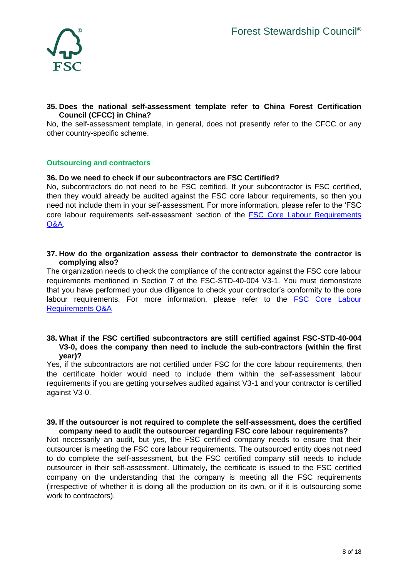

## **35. Does the national self-assessment template refer to China Forest Certification Council (CFCC) in China?**

No, the self-assessment template, in general, does not presently refer to the CFCC or any other country-specific scheme.

## **Outsourcing and contractors**

#### **36. Do we need to check if our subcontractors are FSC Certified?**

No, subcontractors do not need to be FSC certified. If your subcontractor is FSC certified, then they would already be audited against the FSC core labour requirements, so then you need not include them in your self-assessment. For more information, please refer to the 'FSC core labour requirements self-assessment 'section of the [FSC Core Labour Requirements](FSC%20Core%20Labour%20Requirements%20Q&A)  [Q&A.](FSC%20Core%20Labour%20Requirements%20Q&A)

#### **37. How do the organization assess their contractor to demonstrate the contractor is complying also?**

The organization needs to check the compliance of the contractor against the FSC core labour requirements mentioned in Section 7 of the FSC-STD-40-004 V3-1. You must demonstrate that you have performed your due diligence to check your contractor's conformity to the core labour requirements. For more information, please refer to the FSC Core Labour [Requirements Q&A](FSC%20Core%20Labour%20Requirements%20Q&A)

## **38. What if the FSC certified subcontractors are still certified against FSC-STD-40-004 V3-0, does the company then need to include the sub-contractors (within the first year)?**

Yes, if the subcontractors are not certified under FSC for the core labour requirements, then the certificate holder would need to include them within the self-assessment labour requirements if you are getting yourselves audited against V3-1 and your contractor is certified against V3-0.

#### **39. If the outsourcer is not required to complete the self-assessment, does the certified company need to audit the outsourcer regarding FSC core labour requirements?**

Not necessarily an audit, but yes, the FSC certified company needs to ensure that their outsourcer is meeting the FSC core labour requirements. The outsourced entity does not need to do complete the self-assessment, but the FSC certified company still needs to include outsourcer in their self-assessment. Ultimately, the certificate is issued to the FSC certified company on the understanding that the company is meeting all the FSC requirements (irrespective of whether it is doing all the production on its own, or if it is outsourcing some work to contractors).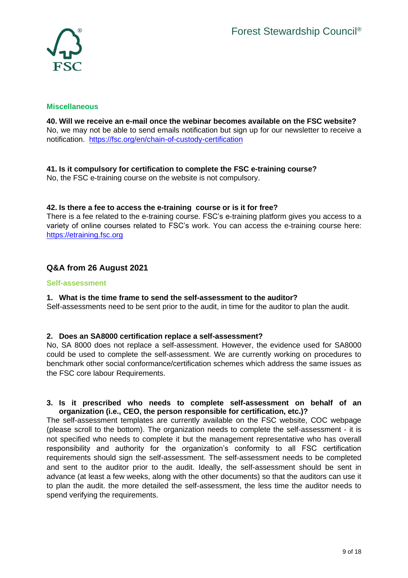

## **Miscellaneous**

**40. Will we receive an e-mail once the webinar becomes available on the FSC website?** No, we may not be able to send emails notification but sign up for our newsletter to receive a notification. <https://fsc.org/en/chain-of-custody-certification>

# **41. Is it compulsory for certification to complete the FSC e-training course?**

No, the FSC e-training course on the website is not compulsory.

# **42. Is there a fee to access the e-training course or is it for free?**

There is a fee related to the e-training course. FSC's e-training platform gives you access to a variety of online courses related to FSC's work. You can access the e-training course here: [https://etraining.fsc.org](https://etraining.fsc.org/)

# **Q&A from 26 August 2021**

## **Self-assessment**

## **1. What is the time frame to send the self-assessment to the auditor?**

Self-assessments need to be sent prior to the audit, in time for the auditor to plan the audit.

## **2. Does an SA8000 certification replace a self-assessment?**

No, SA 8000 does not replace a self-assessment. However, the evidence used for SA8000 could be used to complete the self-assessment. We are currently working on procedures to benchmark other social conformance/certification schemes which address the same issues as the FSC core labour Requirements.

## **3. Is it prescribed who needs to complete self-assessment on behalf of an organization (i.e., CEO, the person responsible for certification, etc.)?**

The self-assessment templates are currently available on the FSC website, COC webpage (please scroll to the bottom). The organization needs to complete the self-assessment - it is not specified who needs to complete it but the management representative who has overall responsibility and authority for the organization's conformity to all FSC certification requirements should sign the self-assessment. The self-assessment needs to be completed and sent to the auditor prior to the audit. Ideally, the self-assessment should be sent in advance (at least a few weeks, along with the other documents) so that the auditors can use it to plan the audit. the more detailed the self-assessment, the less time the auditor needs to spend verifying the requirements.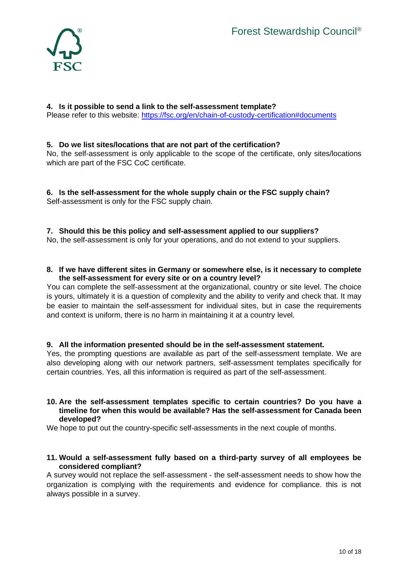

## **4. Is it possible to send a link to the self-assessment template?** Please refer to this website:<https://fsc.org/en/chain-of-custody-certification#documents>

## **5. Do we list sites/locations that are not part of the certification?**

No, the self-assessment is only applicable to the scope of the certificate, only sites/locations which are part of the FSC CoC certificate.

**6. Is the self-assessment for the whole supply chain or the FSC supply chain?** Self-assessment is only for the FSC supply chain.

# **7. Should this be this policy and self-assessment applied to our suppliers?**

No, the self-assessment is only for your operations, and do not extend to your suppliers.

## **8. If we have different sites in Germany or somewhere else, is it necessary to complete the self-assessment for every site or on a country level?**

You can complete the self-assessment at the organizational, country or site level. The choice is yours, ultimately it is a question of complexity and the ability to verify and check that. It may be easier to maintain the self-assessment for individual sites, but in case the requirements and context is uniform, there is no harm in maintaining it at a country level.

## **9. All the information presented should be in the self-assessment statement.**

Yes, the prompting questions are available as part of the self-assessment template. We are also developing along with our network partners, self-assessment templates specifically for certain countries. Yes, all this information is required as part of the self-assessment.

## **10. Are the self-assessment templates specific to certain countries? Do you have a timeline for when this would be available? Has the self-assessment for Canada been developed?**

We hope to put out the country-specific self-assessments in the next couple of months.

#### **11. Would a self-assessment fully based on a third-party survey of all employees be considered compliant?**

A survey would not replace the self-assessment - the self-assessment needs to show how the organization is complying with the requirements and evidence for compliance. this is not always possible in a survey.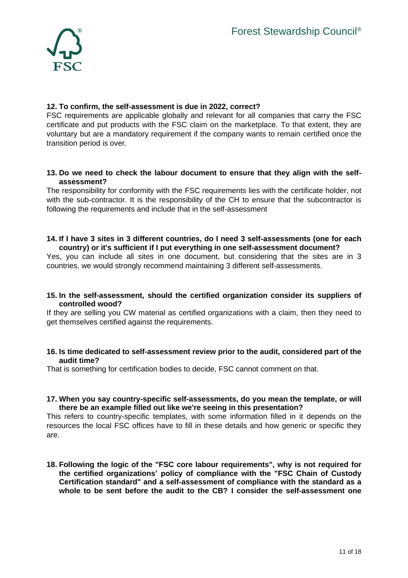

## **12. To confirm, the self-assessment is due in 2022, correct?**

FSC requirements are applicable globally and relevant for all companies that carry the FSC certificate and put products with the FSC claim on the marketplace. To that extent, they are voluntary but are a mandatory requirement if the company wants to remain certified once the transition period is over.

## **13. Do we need to check the labour document to ensure that they align with the selfassessment?**

The responsibility for conformity with the FSC requirements lies with the certificate holder, not with the sub-contractor. It is the responsibility of the CH to ensure that the subcontractor is following the requirements and include that in the self-assessment

#### **14. If I have 3 sites in 3 different countries, do I need 3 self-assessments (one for each country) or it's sufficient if I put everything in one self-assessment document?**

Yes, you can include all sites in one document, but considering that the sites are in 3 countries, we would strongly recommend maintaining 3 different self-assessments.

#### **15. In the self-assessment, should the certified organization consider its suppliers of controlled wood?**

If they are selling you CW material as certified organizations with a claim, then they need to get themselves certified against the requirements.

#### **16. Is time dedicated to self-assessment review prior to the audit, considered part of the audit time?**

That is something for certification bodies to decide, FSC cannot comment on that.

#### **17. When you say country-specific self-assessments, do you mean the template, or will there be an example filled out like we're seeing in this presentation?**

This refers to country-specific templates, with some information filled in it depends on the resources the local FSC offices have to fill in these details and how generic or specific they are.

**18. Following the logic of the "FSC core labour requirements", why is not required for the certified organizations' policy of compliance with the "FSC Chain of Custody Certification standard" and a self-assessment of compliance with the standard as a whole to be sent before the audit to the CB? I consider the self-assessment one**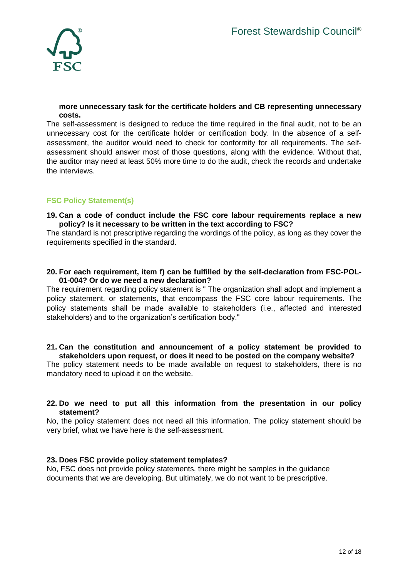

## **more unnecessary task for the certificate holders and CB representing unnecessary costs.**

The self-assessment is designed to reduce the time required in the final audit, not to be an unnecessary cost for the certificate holder or certification body. In the absence of a selfassessment, the auditor would need to check for conformity for all requirements. The selfassessment should answer most of those questions, along with the evidence. Without that, the auditor may need at least 50% more time to do the audit, check the records and undertake the interviews.

# **FSC Policy Statement(s)**

#### **19. Can a code of conduct include the FSC core labour requirements replace a new policy? Is it necessary to be written in the text according to FSC?**

The standard is not prescriptive regarding the wordings of the policy, as long as they cover the requirements specified in the standard.

## **20. For each requirement, item f) can be fulfilled by the self-declaration from FSC-POL-01-004? Or do we need a new declaration?**

The requirement regarding policy statement is " The organization shall adopt and implement a policy statement, or statements, that encompass the FSC core labour requirements. The policy statements shall be made available to stakeholders (i.e., affected and interested stakeholders) and to the organization's certification body."

## **21. Can the constitution and announcement of a policy statement be provided to stakeholders upon request, or does it need to be posted on the company website?**

The policy statement needs to be made available on request to stakeholders, there is no mandatory need to upload it on the website.

## **22. Do we need to put all this information from the presentation in our policy statement?**

No, the policy statement does not need all this information. The policy statement should be very brief, what we have here is the self-assessment.

## **23. Does FSC provide policy statement templates?**

No, FSC does not provide policy statements, there might be samples in the guidance documents that we are developing. But ultimately, we do not want to be prescriptive.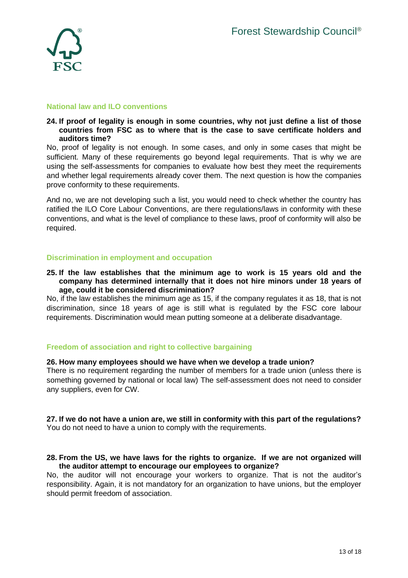

#### **National law and ILO conventions**

#### **24. If proof of legality is enough in some countries, why not just define a list of those countries from FSC as to where that is the case to save certificate holders and auditors time?**

No, proof of legality is not enough. In some cases, and only in some cases that might be sufficient. Many of these requirements go beyond legal requirements. That is why we are using the self-assessments for companies to evaluate how best they meet the requirements and whether legal requirements already cover them. The next question is how the companies prove conformity to these requirements.

And no, we are not developing such a list, you would need to check whether the country has ratified the ILO Core Labour Conventions, are there regulations/laws in conformity with these conventions, and what is the level of compliance to these laws, proof of conformity will also be required.

## **Discrimination in employment and occupation**

#### **25. If the law establishes that the minimum age to work is 15 years old and the company has determined internally that it does not hire minors under 18 years of age, could it be considered discrimination?**

No, if the law establishes the minimum age as 15, if the company regulates it as 18, that is not discrimination, since 18 years of age is still what is regulated by the FSC core labour requirements. Discrimination would mean putting someone at a deliberate disadvantage.

## **Freedom of association and right to collective bargaining**

#### **26. How many employees should we have when we develop a trade union?**

There is no requirement regarding the number of members for a trade union (unless there is something governed by national or local law) The self-assessment does not need to consider any suppliers, even for CW.

#### **27. If we do not have a union are, we still in conformity with this part of the regulations?** You do not need to have a union to comply with the requirements.

#### **28. From the US, we have laws for the rights to organize. If we are not organized will the auditor attempt to encourage our employees to organize?**

No, the auditor will not encourage your workers to organize. That is not the auditor's responsibility. Again, it is not mandatory for an organization to have unions, but the employer should permit freedom of association.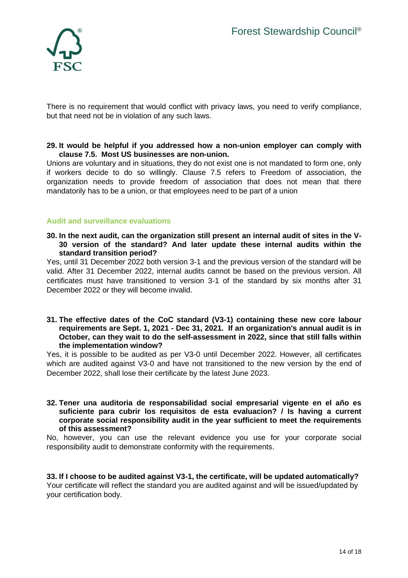

There is no requirement that would conflict with privacy laws, you need to verify compliance, but that need not be in violation of any such laws.

#### **29. It would be helpful if you addressed how a non-union employer can comply with clause 7.5. Most US businesses are non-union.**

Unions are voluntary and in situations, they do not exist one is not mandated to form one, only if workers decide to do so willingly. Clause 7.5 refers to Freedom of association, the organization needs to provide freedom of association that does not mean that there mandatorily has to be a union, or that employees need to be part of a union

## **Audit and surveillance evaluations**

**30. In the next audit, can the organization still present an internal audit of sites in the V-30 version of the standard? And later update these internal audits within the standard transition period?**

Yes, until 31 December 2022 both version 3-1 and the previous version of the standard will be valid. After 31 December 2022, internal audits cannot be based on the previous version. All certificates must have transitioned to version 3-1 of the standard by six months after 31 December 2022 or they will become invalid.

**31. The effective dates of the CoC standard (V3-1) containing these new core labour requirements are Sept. 1, 2021 - Dec 31, 2021. If an organization's annual audit is in October, can they wait to do the self-assessment in 2022, since that still falls within the implementation window?**

Yes, it is possible to be audited as per V3-0 until December 2022. However, all certificates which are audited against V3-0 and have not transitioned to the new version by the end of December 2022, shall lose their certificate by the latest June 2023.

#### **32. Tener una auditoria de responsabilidad social empresarial vigente en el año es suficiente para cubrir los requisitos de esta evaluacion? / Is having a current corporate social responsibility audit in the year sufficient to meet the requirements of this assessment?**

No, however, you can use the relevant evidence you use for your corporate social responsibility audit to demonstrate conformity with the requirements.

**33. If I choose to be audited against V3-1, the certificate, will be updated automatically?** Your certificate will reflect the standard you are audited against and will be issued/updated by your certification body.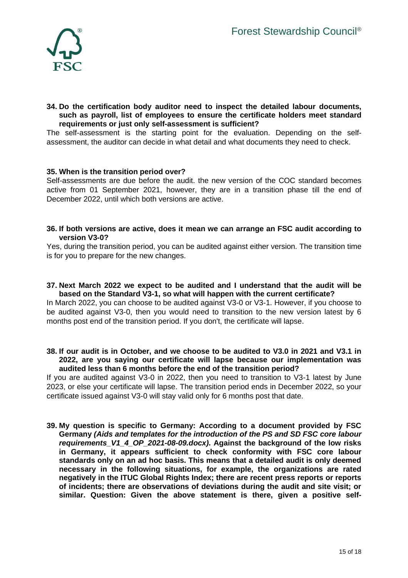

#### **34. Do the certification body auditor need to inspect the detailed labour documents, such as payroll, list of employees to ensure the certificate holders meet standard requirements or just only self-assessment is sufficient?**

The self-assessment is the starting point for the evaluation. Depending on the selfassessment, the auditor can decide in what detail and what documents they need to check.

#### **35. When is the transition period over?**

Self-assessments are due before the audit. the new version of the COC standard becomes active from 01 September 2021, however, they are in a transition phase till the end of December 2022, until which both versions are active.

#### **36. If both versions are active, does it mean we can arrange an FSC audit according to version V3-0?**

Yes, during the transition period, you can be audited against either version. The transition time is for you to prepare for the new changes.

#### **37. Next March 2022 we expect to be audited and I understand that the audit will be based on the Standard V3-1, so what will happen with the current certificate?**

In March 2022, you can choose to be audited against V3-0 or V3-1. However, if you choose to be audited against V3-0, then you would need to transition to the new version latest by 6 months post end of the transition period. If you don't, the certificate will lapse.

#### **38. If our audit is in October, and we choose to be audited to V3.0 in 2021 and V3.1 in 2022, are you saying our certificate will lapse because our implementation was audited less than 6 months before the end of the transition period?**

If you are audited against V3-0 in 2022, then you need to transition to V3-1 latest by June 2023, or else your certificate will lapse. The transition period ends in December 2022, so your certificate issued against V3-0 will stay valid only for 6 months post that date.

**39. My question is specific to Germany: According to a document provided by FSC Germany** *(Aids and templates for the introduction of the PS and SD FSC core labour requirements\_V1\_4\_OP\_2021-08-09.docx)***. Against the background of the low risks in Germany, it appears sufficient to check conformity with FSC core labour standards only on an ad hoc basis. This means that a detailed audit is only deemed necessary in the following situations, for example, the organizations are rated negatively in the ITUC Global Rights Index; there are recent press reports or reports of incidents; there are observations of deviations during the audit and site visit; or similar. Question: Given the above statement is there, given a positive self-**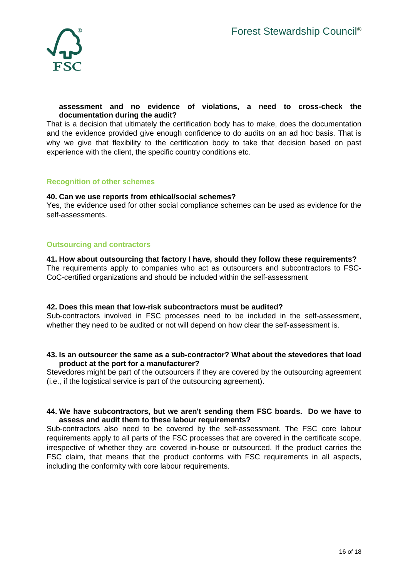

## **assessment and no evidence of violations, a need to cross-check the documentation during the audit?**

That is a decision that ultimately the certification body has to make, does the documentation and the evidence provided give enough confidence to do audits on an ad hoc basis. That is why we give that flexibility to the certification body to take that decision based on past experience with the client, the specific country conditions etc.

## **Recognition of other schemes**

#### **40. Can we use reports from ethical/social schemes?**

Yes, the evidence used for other social compliance schemes can be used as evidence for the self-assessments.

## **Outsourcing and contractors**

## **41. How about outsourcing that factory I have, should they follow these requirements?**

The requirements apply to companies who act as outsourcers and subcontractors to FSC-CoC-certified organizations and should be included within the self-assessment

#### **42. Does this mean that low-risk subcontractors must be audited?**

Sub-contractors involved in FSC processes need to be included in the self-assessment, whether they need to be audited or not will depend on how clear the self-assessment is.

#### **43. Is an outsourcer the same as a sub-contractor? What about the stevedores that load product at the port for a manufacturer?**

Stevedores might be part of the outsourcers if they are covered by the outsourcing agreement (i.e., if the logistical service is part of the outsourcing agreement).

#### **44. We have subcontractors, but we aren't sending them FSC boards. Do we have to assess and audit them to these labour requirements?**

Sub-contractors also need to be covered by the self-assessment. The FSC core labour requirements apply to all parts of the FSC processes that are covered in the certificate scope, irrespective of whether they are covered in-house or outsourced. If the product carries the FSC claim, that means that the product conforms with FSC requirements in all aspects, including the conformity with core labour requirements.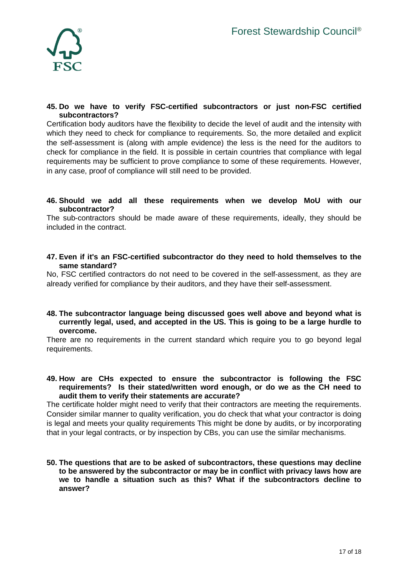

## **45. Do we have to verify FSC-certified subcontractors or just non-FSC certified subcontractors?**

Certification body auditors have the flexibility to decide the level of audit and the intensity with which they need to check for compliance to requirements. So, the more detailed and explicit the self-assessment is (along with ample evidence) the less is the need for the auditors to check for compliance in the field. It is possible in certain countries that compliance with legal requirements may be sufficient to prove compliance to some of these requirements. However, in any case, proof of compliance will still need to be provided.

#### **46. Should we add all these requirements when we develop MoU with our subcontractor?**

The sub-contractors should be made aware of these requirements, ideally, they should be included in the contract.

**47. Even if it's an FSC-certified subcontractor do they need to hold themselves to the same standard?**

No, FSC certified contractors do not need to be covered in the self-assessment, as they are already verified for compliance by their auditors, and they have their self-assessment.

**48. The subcontractor language being discussed goes well above and beyond what is currently legal, used, and accepted in the US. This is going to be a large hurdle to overcome.**

There are no requirements in the current standard which require you to go beyond legal requirements.

**49. How are CHs expected to ensure the subcontractor is following the FSC requirements? Is their stated/written word enough, or do we as the CH need to audit them to verify their statements are accurate?**

The certificate holder might need to verify that their contractors are meeting the requirements. Consider similar manner to quality verification, you do check that what your contractor is doing is legal and meets your quality requirements This might be done by audits, or by incorporating that in your legal contracts, or by inspection by CBs, you can use the similar mechanisms.

**50. The questions that are to be asked of subcontractors, these questions may decline to be answered by the subcontractor or may be in conflict with privacy laws how are we to handle a situation such as this? What if the subcontractors decline to answer?**